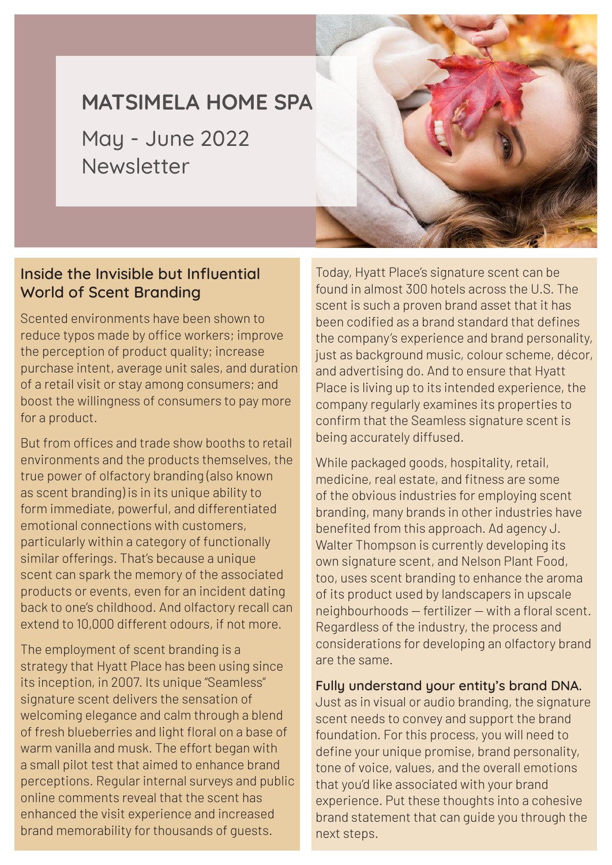# **MATSIMELA HOME SPA**

May - June 2022 Newsletter



#### **Inside the Invisible but Influential World of Scent Branding**

Scented environments have been shown to reduce typos made by office workers; improve the perception of product quality; increase purchase intent, average unit sales, and duration of a retail visit or stay among consumers; and boost the willingness of consumers to pay more for a product.

But from offices and trade show booths to retail environments and the products themselves, the true power of olfactory branding (also known as scent branding) is in its unique ability to form immediate, powerful, and differentiated emotional connections with customers, particularly within a category of functionally similar offerings. That's because a unique scent can spark the memory of the associated products or events, even for an incident dating back to one's childhood. And olfactory recall can extend to 10,000 different odours, if not more.

The employment of scent branding is a strategy that Hyatt Place has been using since its inception, in 2007. Its unique "Seamless" signature scent delivers the sensation of welcoming elegance and calm through a blend of fresh blueberries and light floral on a base of warm vanilla and musk. The effort began with a small pilot test that aimed to enhance brand perceptions. Regular internal surveys and public online comments reveal that the scent has enhanced the visit experience and increased brand memorability for thousands of guests.

Today, Hyatt Place's signature scent can be found in almost 300 hotels across the U.S. The scent is such a proven brand asset that it has been codified as a brand standard that defines the company's experience and brand personality, just as background music, colour scheme, décor, and advertising do. And to ensure that Hyatt Place is living up to its intended experience, the company regularly examines its properties to confirm that the Seamless signature scent is being accurately diffused.

While packaged goods, hospitality, retail, medicine, real estate, and fitness are some of the obvious industries for employing scent branding, many brands in other industries have benefited from this approach. Ad agency J. Walter Thompson is currently developing its own signature scent, and Nelson Plant Food, too, uses scent branding to enhance the aroma of its product used by landscapers in upscale neighbourhoods — fertilizer — with a floral scent. Regardless of the industry, the process and considerations for developing an olfactory brand are the same.

#### **Fully understand your entity's brand DNA.**

Just as in visual or audio branding, the signature scent needs to convey and support the brand foundation. For this process, you will need to define your unique promise, brand personality, tone of voice, values, and the overall emotions that you'd like associated with your brand experience. Put these thoughts into a cohesive brand statement that can guide you through the next steps.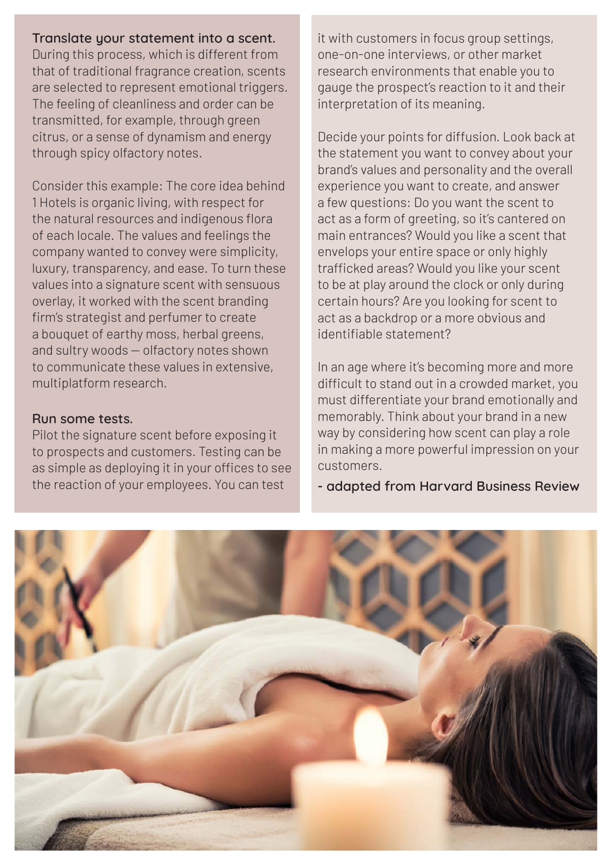**Translate your statement into a scent.**  During this process, which is different from that of traditional fragrance creation, scents are selected to represent emotional triggers. The feeling of cleanliness and order can be transmitted, for example, through green citrus, or a sense of dynamism and energy through spicy olfactory notes.

Consider this example: The core idea behind 1 Hotels is organic living, with respect for the natural resources and indigenous flora of each locale. The values and feelings the company wanted to convey were simplicity, luxury, transparency, and ease. To turn these values into a signature scent with sensuous overlay, it worked with the scent branding firm's strategist and perfumer to create a bouquet of earthy moss, herbal greens, and sultry woods — olfactory notes shown to communicate these values in extensive, multiplatform research.

#### **Run some tests.**

Pilot the signature scent before exposing it to prospects and customers. Testing can be as simple as deploying it in your offices to see the reaction of your employees. You can test

it with customers in focus group settings, one-on-one interviews, or other market research environments that enable you to gauge the prospect's reaction to it and their interpretation of its meaning.

Decide your points for diffusion. Look back at the statement you want to convey about your brand's values and personality and the overall experience you want to create, and answer a few questions: Do you want the scent to act as a form of greeting, so it's cantered on main entrances? Would you like a scent that envelops your entire space or only highly trafficked areas? Would you like your scent to be at play around the clock or only during certain hours? Are you looking for scent to act as a backdrop or a more obvious and identifiable statement?

In an age where it's becoming more and more difficult to stand out in a crowded market, you must differentiate your brand emotionally and memorably. Think about your brand in a new way by considering how scent can play a role in making a more powerful impression on your customers.

**- adapted from Harvard Business Review** 

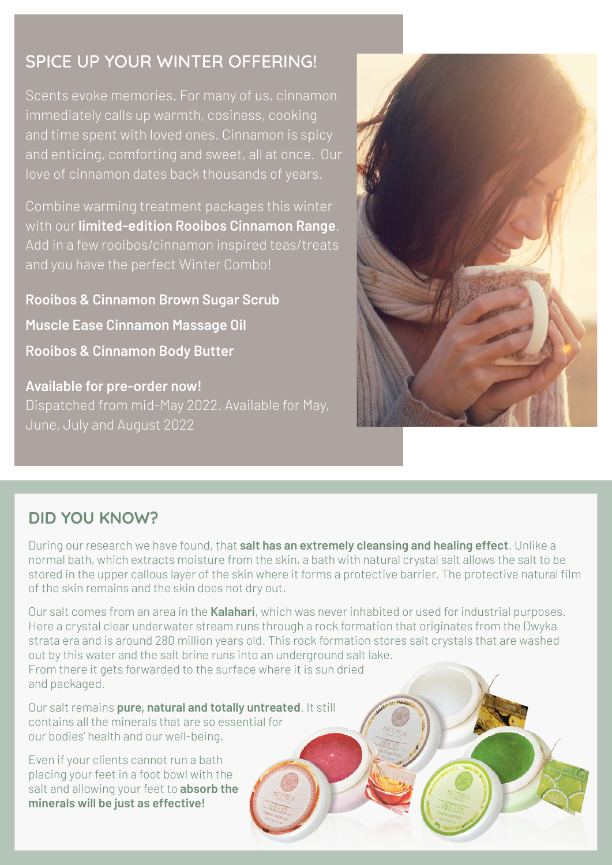## **SPICE UP YOUR WINTER OFFERING!**

Scents evoke memories. For many of us, cinnamon immediately calls up warmth, cosiness, cooking and time spent with loved ones. Cinnamon is spicy and enticing, comforting and sweet, all at once. Our love of cinnamon dates back thousands of years.

Combine warming treatment packages this winter with our **limited-edition Rooibos Cinnamon Range**. Add in a few rooibos/cinnamon inspired teas/treats and you have the perfect Winter Combo!

**Rooibos & Cinnamon Brown Sugar Scrub Muscle Ease Cinnamon Massage Oil Rooibos & Cinnamon Body Butter**

**Available for pre-order now!** Dispatched from mid-May 2022. Available for May, June, July and August 2022



### **DID YOU KNOW?**

During our research we have found, that **salt has an extremely cleansing and healing effect**. Unlike a normal bath, which extracts moisture from the skin, a bath with natural crystal salt allows the salt to be stored in the upper callous layer of the skin where it forms a protective barrier. The protective natural film of the skin remains and the skin does not dry out.

Our salt comes from an area in the **Kalahari**, which was never inhabited or used for industrial purposes. Here a crystal clear underwater stream runs through a rock formation that originates from the Dwyka strata era and is around 280 million years old. This rock formation stores salt crystals that are washed out by this water and the salt brine runs into an underground salt lake. From there it gets forwarded to the surface where it is sun dried and packaged.

Our salt remains **pure, natural and totally untreated**. It still contains all the minerals that are so essential for our bodies' health and our well-being.

Even if your clients cannot run a bath placing your feet in a foot bowl with the salt and allowing your feet to **absorb the minerals will be just as effective!**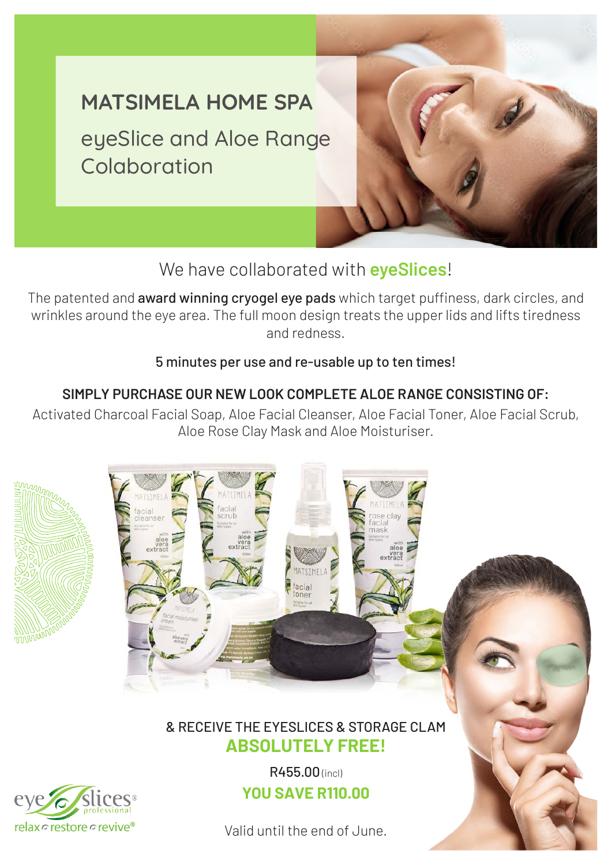

## We have collaborated with **eyeSlices**!

The patented and **award winning cryogel eye pads** which target puffiness, dark circles, and wrinkles around the eye area. The full moon design treats the upper lids and lifts tiredness and redness.

#### 5 minutes per use and re-usable up to ten times!

#### **SIMPLY PURCHASE OUR NEW LOOK COMPLETE ALOE RANGE CONSISTING OF:**

Activated Charcoal Facial Soap, Aloe Facial Cleanser, Aloe Facial Toner, Aloe Facial Scrub, Aloe Rose Clay Mask and Aloe Moisturiser.



#### & RECEIVE THE EYESLICES & STORAGE CLAM **ABSOLUTELY FREE!**



R455.00 (incl) **YOU SAVE R110.00**

Valid until the end of June.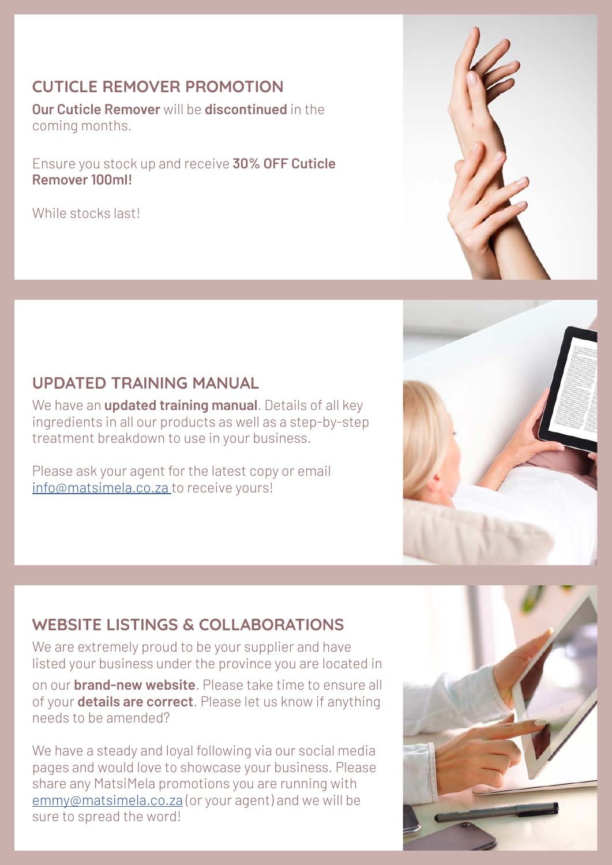#### **CUTICLE REMOVER PROMOTION**

**Our Cuticle Remover** will be **discontinued** in the coming months.

Ensure you stock up and receive **30% OFF Cuticle Remover 100ml!**

While stocks last!

#### **UPDATED TRAINING MANUAL**

We have an **updated training manual**. Details of all key ingredients in all our products as well as a step-by-step treatment breakdown to use in your business.

Please ask your agent for the latest copy or email info@matsimela.co.za to receive yours!

### **WEBSITE LISTINGS & COLLABORATIONS**

We are extremely proud to be your supplier and have listed your business under the province you are located in

on our **brand-new website**. Please take time to ensure all of your **details are correct**. Please let us know if anything needs to be amended?

We have a steady and loyal following via our social media pages and would love to showcase your business. Please share any MatsiMela promotions you are running with emmy@matsimela.co.za (or your agent) and we will be sure to spread the word!